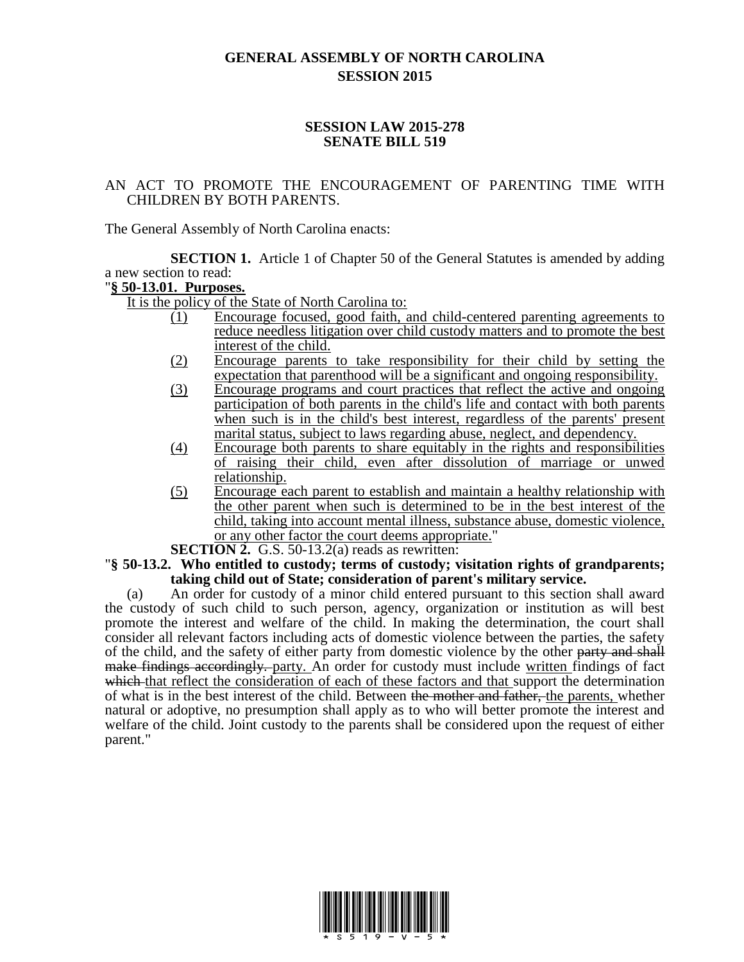## **GENERAL ASSEMBLY OF NORTH CAROLINA SESSION 2015**

## **SESSION LAW 2015-278 SENATE BILL 519**

## AN ACT TO PROMOTE THE ENCOURAGEMENT OF PARENTING TIME WITH CHILDREN BY BOTH PARENTS.

The General Assembly of North Carolina enacts:

**SECTION 1.** Article 1 of Chapter 50 of the General Statutes is amended by adding a new section to read:

## "**§ 50-13.01. Purposes.**

It is the policy of the State of North Carolina to:

- (1) Encourage focused, good faith, and child-centered parenting agreements to reduce needless litigation over child custody matters and to promote the best interest of the child.
- (2) Encourage parents to take responsibility for their child by setting the expectation that parenthood will be a significant and ongoing responsibility.
- (3) Encourage programs and court practices that reflect the active and ongoing participation of both parents in the child's life and contact with both parents when such is in the child's best interest, regardless of the parents' present marital status, subject to laws regarding abuse, neglect, and dependency.
- (4) Encourage both parents to share equitably in the rights and responsibilities of raising their child, even after dissolution of marriage or unwed relationship.
- (5) Encourage each parent to establish and maintain a healthy relationship with the other parent when such is determined to be in the best interest of the child, taking into account mental illness, substance abuse, domestic violence, or any other factor the court deems appropriate."

**SECTION 2.** G.S. 50-13.2(a) reads as rewritten:

"**§ 50-13.2. Who entitled to custody; terms of custody; visitation rights of grandparents; taking child out of State; consideration of parent's military service.**

(a) An order for custody of a minor child entered pursuant to this section shall award the custody of such child to such person, agency, organization or institution as will best promote the interest and welfare of the child. In making the determination, the court shall consider all relevant factors including acts of domestic violence between the parties, the safety of the child, and the safety of either party from domestic violence by the other party and shall make findings accordingly. party. An order for custody must include written findings of fact which that reflect the consideration of each of these factors and that support the determination of what is in the best interest of the child. Between the mother and father, the parents, whether natural or adoptive, no presumption shall apply as to who will better promote the interest and welfare of the child. Joint custody to the parents shall be considered upon the request of either parent."